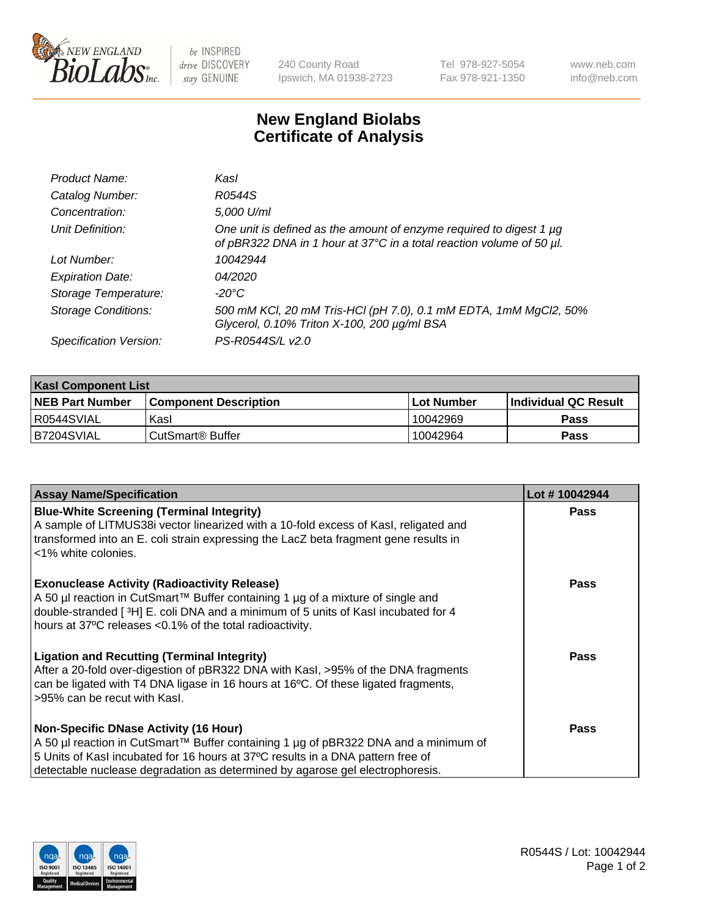

be INSPIRED drive DISCOVERY stay GENUINE

240 County Road Ipswich, MA 01938-2723 Tel 978-927-5054 Fax 978-921-1350 www.neb.com info@neb.com

## **New England Biolabs Certificate of Analysis**

| Product Name:              | Kasl                                                                                                                                        |
|----------------------------|---------------------------------------------------------------------------------------------------------------------------------------------|
| Catalog Number:            | R0544S                                                                                                                                      |
| Concentration:             | 5,000 U/ml                                                                                                                                  |
| Unit Definition:           | One unit is defined as the amount of enzyme required to digest 1 µg<br>of pBR322 DNA in 1 hour at 37°C in a total reaction volume of 50 µl. |
| Lot Number:                | 10042944                                                                                                                                    |
| <b>Expiration Date:</b>    | 04/2020                                                                                                                                     |
| Storage Temperature:       | -20°C                                                                                                                                       |
| <b>Storage Conditions:</b> | 500 mM KCl, 20 mM Tris-HCl (pH 7.0), 0.1 mM EDTA, 1mM MgCl2, 50%<br>Glycerol, 0.10% Triton X-100, 200 µg/ml BSA                             |
| Specification Version:     | PS-R0544S/L v2.0                                                                                                                            |

| <b>Kasl Component List</b> |                              |                   |                             |  |  |
|----------------------------|------------------------------|-------------------|-----------------------------|--|--|
| <b>NEB Part Number</b>     | <b>Component Description</b> | <b>Lot Number</b> | <b>Individual QC Result</b> |  |  |
| I R0544SVIAL               | Kasl                         | 10042969          | <b>Pass</b>                 |  |  |
| B7204SVIAL                 | l CutSmart® Buffer           | 10042964          | Pass                        |  |  |

| <b>Assay Name/Specification</b>                                                                                                                                                                                                                                                                         | Lot #10042944 |
|---------------------------------------------------------------------------------------------------------------------------------------------------------------------------------------------------------------------------------------------------------------------------------------------------------|---------------|
| <b>Blue-White Screening (Terminal Integrity)</b><br>A sample of LITMUS38i vector linearized with a 10-fold excess of Kasl, religated and<br>transformed into an E. coli strain expressing the LacZ beta fragment gene results in<br><1% white colonies.                                                 | <b>Pass</b>   |
| <b>Exonuclease Activity (Radioactivity Release)</b><br>A 50 µl reaction in CutSmart™ Buffer containing 1 µg of a mixture of single and<br>double-stranded [3H] E. coli DNA and a minimum of 5 units of Kasl incubated for 4<br>hours at 37°C releases <0.1% of the total radioactivity.                 | <b>Pass</b>   |
| <b>Ligation and Recutting (Terminal Integrity)</b><br>After a 20-fold over-digestion of pBR322 DNA with Kasl, >95% of the DNA fragments<br>can be ligated with T4 DNA ligase in 16 hours at 16°C. Of these ligated fragments,<br>>95% can be recut with Kasl.                                           | Pass          |
| <b>Non-Specific DNase Activity (16 Hour)</b><br>A 50 µl reaction in CutSmart™ Buffer containing 1 µg of pBR322 DNA and a minimum of<br>5 Units of Kasl incubated for 16 hours at 37°C results in a DNA pattern free of<br>detectable nuclease degradation as determined by agarose gel electrophoresis. | Pass          |